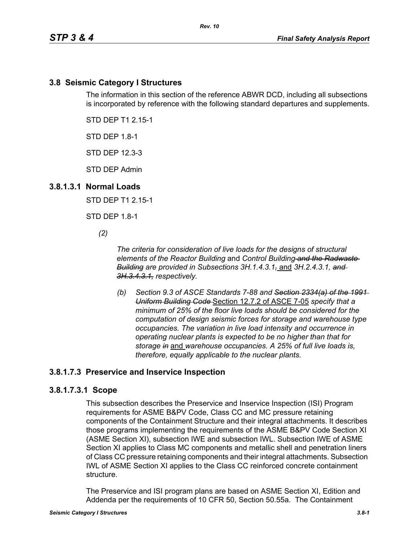# **3.8 Seismic Category I Structures**

The information in this section of the reference ABWR DCD, including all subsections is incorporated by reference with the following standard departures and supplements.

STD DEP T1 2.15-1

STD DEP 1.8-1

STD DEP 12.3-3

STD DEP Admin

### **3.8.1.3.1 Normal Loads**

STD DEP T1 2.15-1

STD DEP 1.8-1

*(2)*

*The criteria for consideration of live loads for the designs of structural elements of the Reactor Building* and *Control Building and the Radwaste Building are provided in Subsections 3H.1.4.3.1,* and *3H.2.4.3.1, and 3H.3.4.3.1, respectively.*

*(b) Section 9.3 of ASCE Standards 7-88 and Section 2334(a) of the 1991 Uniform Building Code* Section 12.7.2 of ASCE 7-05 *specify that a minimum of 25% of the floor live loads should be considered for the computation of design seismic forces for storage and warehouse type occupancies. The variation in live load intensity and occurrence in operating nuclear plants is expected to be no higher than that for storage in* and *warehouse occupancies. A 25% of full live loads is, therefore, equally applicable to the nuclear plants.*

# **3.8.1.7.3 Preservice and Inservice Inspection**

#### **3.8.1.7.3.1 Scope**

This subsection describes the Preservice and Inservice Inspection (ISI) Program requirements for ASME B&PV Code, Class CC and MC pressure retaining components of the Containment Structure and their integral attachments. It describes those programs implementing the requirements of the ASME B&PV Code Section XI (ASME Section XI), subsection IWE and subsection IWL. Subsection IWE of ASME Section XI applies to Class MC components and metallic shell and penetration liners of Class CC pressure retaining components and their integral attachments. Subsection IWL of ASME Section XI applies to the Class CC reinforced concrete containment structure.

The Preservice and ISI program plans are based on ASME Section XI, Edition and Addenda per the requirements of 10 CFR 50, Section 50.55a. The Containment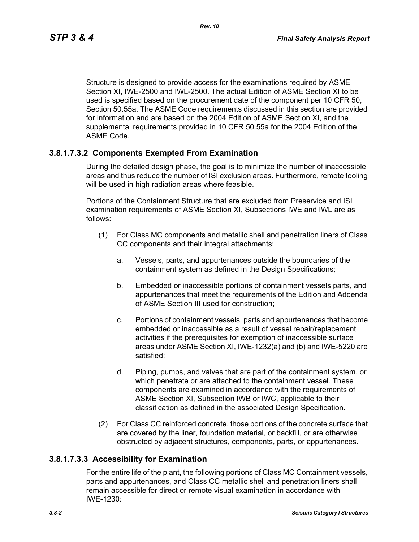Structure is designed to provide access for the examinations required by ASME Section XI, IWE-2500 and IWL-2500. The actual Edition of ASME Section XI to be used is specified based on the procurement date of the component per 10 CFR 50, Section 50.55a. The ASME Code requirements discussed in this section are provided for information and are based on the 2004 Edition of ASME Section XI, and the supplemental requirements provided in 10 CFR 50.55a for the 2004 Edition of the ASME Code.

# **3.8.1.7.3.2 Components Exempted From Examination**

During the detailed design phase, the goal is to minimize the number of inaccessible areas and thus reduce the number of ISI exclusion areas. Furthermore, remote tooling will be used in high radiation areas where feasible.

Portions of the Containment Structure that are excluded from Preservice and ISI examination requirements of ASME Section XI, Subsections IWE and IWL are as follows:

- (1) For Class MC components and metallic shell and penetration liners of Class CC components and their integral attachments:
	- a. Vessels, parts, and appurtenances outside the boundaries of the containment system as defined in the Design Specifications;
	- b. Embedded or inaccessible portions of containment vessels parts, and appurtenances that meet the requirements of the Edition and Addenda of ASME Section III used for construction;
	- c. Portions of containment vessels, parts and appurtenances that become embedded or inaccessible as a result of vessel repair/replacement activities if the prerequisites for exemption of inaccessible surface areas under ASME Section XI, IWE-1232(a) and (b) and IWE-5220 are satisfied;
	- d. Piping, pumps, and valves that are part of the containment system, or which penetrate or are attached to the containment vessel. These components are examined in accordance with the requirements of ASME Section XI, Subsection IWB or IWC, applicable to their classification as defined in the associated Design Specification.
- (2) For Class CC reinforced concrete, those portions of the concrete surface that are covered by the liner, foundation material, or backfill, or are otherwise obstructed by adjacent structures, components, parts, or appurtenances.

# **3.8.1.7.3.3 Accessibility for Examination**

For the entire life of the plant, the following portions of Class MC Containment vessels, parts and appurtenances, and Class CC metallic shell and penetration liners shall remain accessible for direct or remote visual examination in accordance with IWE-1230: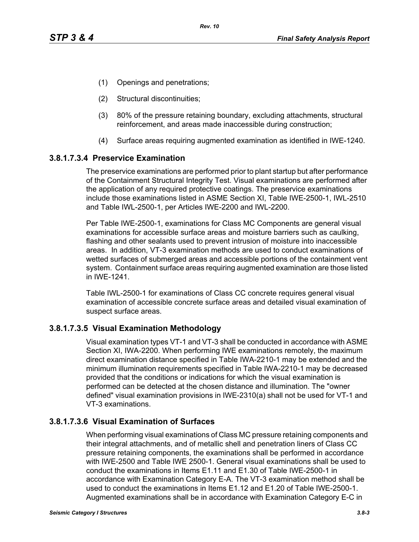- (1) Openings and penetrations;
- (2) Structural discontinuities;
- (3) 80% of the pressure retaining boundary, excluding attachments, structural reinforcement, and areas made inaccessible during construction;
- (4) Surface areas requiring augmented examination as identified in IWE-1240.

### **3.8.1.7.3.4 Preservice Examination**

The preservice examinations are performed prior to plant startup but after performance of the Containment Structural Integrity Test. Visual examinations are performed after the application of any required protective coatings. The preservice examinations include those examinations listed in ASME Section XI, Table IWE-2500-1, IWL-2510 and Table IWL-2500-1, per Articles IWE-2200 and IWL-2200.

Per Table IWE-2500-1, examinations for Class MC Components are general visual examinations for accessible surface areas and moisture barriers such as caulking, flashing and other sealants used to prevent intrusion of moisture into inaccessible areas. In addition, VT-3 examination methods are used to conduct examinations of wetted surfaces of submerged areas and accessible portions of the containment vent system. Containment surface areas requiring augmented examination are those listed in IWE-1241.

Table IWL-2500-1 for examinations of Class CC concrete requires general visual examination of accessible concrete surface areas and detailed visual examination of suspect surface areas.

#### **3.8.1.7.3.5 Visual Examination Methodology**

Visual examination types VT-1 and VT-3 shall be conducted in accordance with ASME Section XI, IWA-2200. When performing IWE examinations remotely, the maximum direct examination distance specified in Table IWA-2210-1 may be extended and the minimum illumination requirements specified in Table IWA-2210-1 may be decreased provided that the conditions or indications for which the visual examination is performed can be detected at the chosen distance and illumination. The "owner defined" visual examination provisions in IWE-2310(a) shall not be used for VT-1 and VT-3 examinations.

# **3.8.1.7.3.6 Visual Examination of Surfaces**

When performing visual examinations of Class MC pressure retaining components and their integral attachments, and of metallic shell and penetration liners of Class CC pressure retaining components, the examinations shall be performed in accordance with IWE-2500 and Table IWE 2500-1. General visual examinations shall be used to conduct the examinations in Items E1.11 and E1.30 of Table IWE-2500-1 in accordance with Examination Category E-A. The VT-3 examination method shall be used to conduct the examinations in Items E1.12 and E1.20 of Table IWE-2500-1. Augmented examinations shall be in accordance with Examination Category E-C in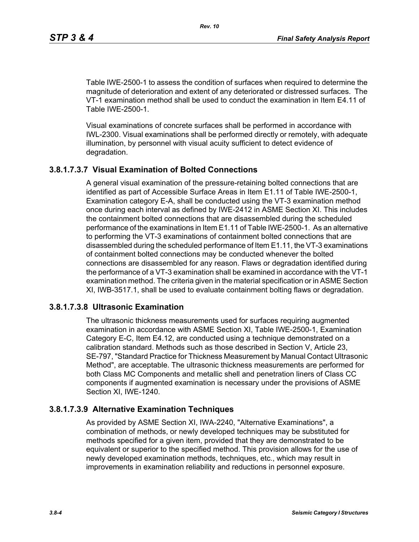Table IWE-2500-1 to assess the condition of surfaces when required to determine the magnitude of deterioration and extent of any deteriorated or distressed surfaces. The VT-1 examination method shall be used to conduct the examination in Item E4.11 of Table IWE-2500-1.

Visual examinations of concrete surfaces shall be performed in accordance with IWL-2300. Visual examinations shall be performed directly or remotely, with adequate illumination, by personnel with visual acuity sufficient to detect evidence of degradation.

### **3.8.1.7.3.7 Visual Examination of Bolted Connections**

A general visual examination of the pressure-retaining bolted connections that are identified as part of Accessible Surface Areas in Item E1.11 of Table IWE-2500-1, Examination category E-A, shall be conducted using the VT-3 examination method once during each interval as defined by IWE-2412 in ASME Section XI. This includes the containment bolted connections that are disassembled during the scheduled performance of the examinations in Item E1.11 of Table IWE-2500-1. As an alternative to performing the VT-3 examinations of containment bolted connections that are disassembled during the scheduled performance of Item E1.11, the VT-3 examinations of containment bolted connections may be conducted whenever the bolted connections are disassembled for any reason. Flaws or degradation identified during the performance of a VT-3 examination shall be examined in accordance with the VT-1 examination method. The criteria given in the material specification or in ASME Section XI, IWB-3517.1, shall be used to evaluate containment bolting flaws or degradation.

#### **3.8.1.7.3.8 Ultrasonic Examination**

The ultrasonic thickness measurements used for surfaces requiring augmented examination in accordance with ASME Section XI, Table IWE-2500-1, Examination Category E-C, Item E4.12, are conducted using a technique demonstrated on a calibration standard. Methods such as those described in Section V, Article 23, SE-797, "Standard Practice for Thickness Measurement by Manual Contact Ultrasonic Method", are acceptable. The ultrasonic thickness measurements are performed for both Class MC Components and metallic shell and penetration liners of Class CC components if augmented examination is necessary under the provisions of ASME Section XI, IWE-1240.

### **3.8.1.7.3.9 Alternative Examination Techniques**

As provided by ASME Section XI, IWA-2240, "Alternative Examinations", a combination of methods, or newly developed techniques may be substituted for methods specified for a given item, provided that they are demonstrated to be equivalent or superior to the specified method. This provision allows for the use of newly developed examination methods, techniques, etc., which may result in improvements in examination reliability and reductions in personnel exposure.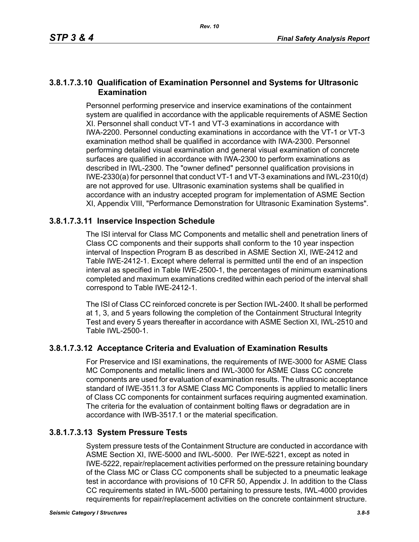# **3.8.1.7.3.10 Qualification of Examination Personnel and Systems for Ultrasonic Examination**

Personnel performing preservice and inservice examinations of the containment system are qualified in accordance with the applicable requirements of ASME Section XI. Personnel shall conduct VT-1 and VT-3 examinations in accordance with IWA-2200. Personnel conducting examinations in accordance with the VT-1 or VT-3 examination method shall be qualified in accordance with IWA-2300. Personnel performing detailed visual examination and general visual examination of concrete surfaces are qualified in accordance with IWA-2300 to perform examinations as described in IWL-2300. The "owner defined" personnel qualification provisions in IWE-2330(a) for personnel that conduct VT-1 and VT-3 examinations and IWL-2310(d) are not approved for use. Ultrasonic examination systems shall be qualified in accordance with an industry accepted program for implementation of ASME Section XI, Appendix VIII, "Performance Demonstration for Ultrasonic Examination Systems".

# **3.8.1.7.3.11 Inservice Inspection Schedule**

The ISI interval for Class MC Components and metallic shell and penetration liners of Class CC components and their supports shall conform to the 10 year inspection interval of Inspection Program B as described in ASME Section XI, IWE-2412 and Table IWE-2412-1. Except where deferral is permitted until the end of an inspection interval as specified in Table IWE-2500-1, the percentages of minimum examinations completed and maximum examinations credited within each period of the interval shall correspond to Table IWE-2412-1.

The ISI of Class CC reinforced concrete is per Section IWL-2400. It shall be performed at 1, 3, and 5 years following the completion of the Containment Structural Integrity Test and every 5 years thereafter in accordance with ASME Section XI, IWL-2510 and Table IWL-2500-1.

# **3.8.1.7.3.12 Acceptance Criteria and Evaluation of Examination Results**

For Preservice and ISI examinations, the requirements of IWE-3000 for ASME Class MC Components and metallic liners and IWL-3000 for ASME Class CC concrete components are used for evaluation of examination results. The ultrasonic acceptance standard of IWE-3511.3 for ASME Class MC Components is applied to metallic liners of Class CC components for containment surfaces requiring augmented examination. The criteria for the evaluation of containment bolting flaws or degradation are in accordance with IWB-3517.1 or the material specification.

# **3.8.1.7.3.13 System Pressure Tests**

System pressure tests of the Containment Structure are conducted in accordance with ASME Section XI, IWE-5000 and IWL-5000. Per IWE-5221, except as noted in IWE-5222, repair/replacement activities performed on the pressure retaining boundary of the Class MC or Class CC components shall be subjected to a pneumatic leakage test in accordance with provisions of 10 CFR 50, Appendix J. In addition to the Class CC requirements stated in IWL-5000 pertaining to pressure tests, IWL-4000 provides requirements for repair/replacement activities on the concrete containment structure.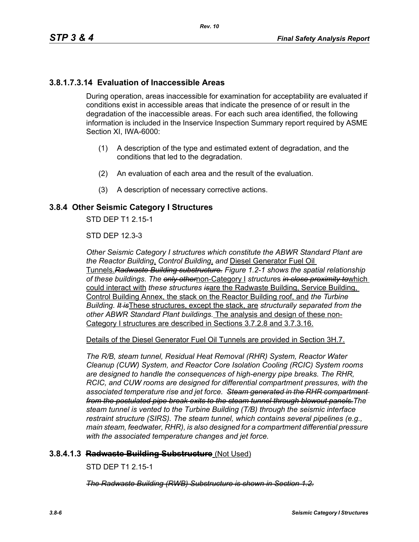# **3.8.1.7.3.14 Evaluation of Inaccessible Areas**

During operation, areas inaccessible for examination for acceptability are evaluated if conditions exist in accessible areas that indicate the presence of or result in the degradation of the inaccessible areas. For each such area identified, the following information is included in the Inservice Inspection Summary report required by ASME Section XI, IWA-6000:

- (1) A description of the type and estimated extent of degradation, and the conditions that led to the degradation.
- (2) An evaluation of each area and the result of the evaluation.
- (3) A description of necessary corrective actions.

### **3.8.4 Other Seismic Category I Structures**

STD DEP T1 2 15-1

STD DEP 12.3-3

*Other Seismic Category I structures which constitute the ABWR Standard Plant are the Reactor Building*, *Control Building*, *and* Diesel Generator Fuel Oil Tunnels.*Radwaste Building substructure. Figure 1.2-1 shows the spatial relationship of these buildings. The only other*non-Category I *structure*s *in close proximity to*which could interact with *these structures is*are the Radwaste Building, Service Building, Control Building Annex, the stack on the Reactor Building roof, and *the Turbine Building. It is*These structures, except the stack, are *structurally separated from the other ABWR Standard Plant buildings.* The analysis and design of these non-Category I structures are described in Sections 3.7.2.8 and 3.7.3.16.

Details of the Diesel Generator Fuel Oil Tunnels are provided in Section 3H.7.

*The R/B, steam tunnel, Residual Heat Removal (RHR) System, Reactor Water Cleanup (CUW) System, and Reactor Core Isolation Cooling (RCIC) System rooms are designed to handle the consequences of high-energy pipe breaks. The RHR, RCIC, and CUW rooms are designed for differential compartment pressures, with the associated temperature rise and jet force. Steam generated in the RHR compartment from the postulated pipe break exits to the steam tunnel through blowout panels.The steam tunnel is vented to the Turbine Building (T/B) through the seismic interface restraint structure (SIRS). The steam tunnel, which contains several pipelines (e.g., main steam, feedwater, RHR), is also designed for a compartment differential pressure with the associated temperature changes and jet force.*

#### **3.8.4.1.3 Radwaste Building Substructure** (Not Used)

STD DEP T1 2.15-1

*The Radwaste Building (RWB) Substructure is shown in Section 1.2.*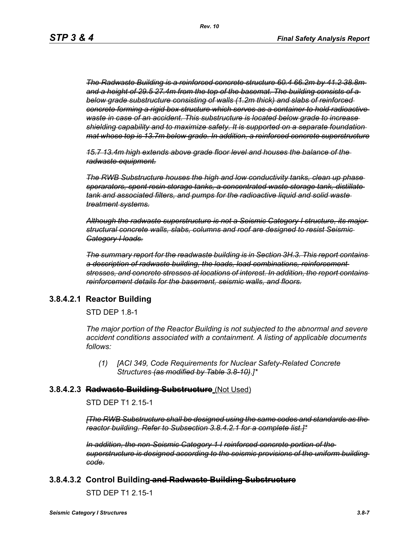*The Radwaste Building is a reinforced concrete structure 60.4 66.2m by 41.2 38.8m and a height of 29.5 27.4m from the top of the basemat. The building consists of a below grade substructure consisting of walls (1.2m thick) and slabs of reinforced concrete forming a rigid box structure which serves as a container to hold radioactive waste in case of an accident. This substructure is located below grade to increase shielding capability and to maximize safety. It is supported on a separate foundation mat whose top is 13.7m below grade. In addition, a reinforced concrete superstructure*

*15.7 13.4m high extends above grade floor level and houses the balance of the radwaste equipment.*

*The RWB Substructure houses the high and low conductivity tanks, clean up phase sperarators, spent resin storage tanks, a concentrated waste storage tank, distillate tank and associated filters, and pumps for the radioactive liquid and solid waste treatment systems.*

*Although the radwaste superstructure is not a Seismic Category I structure, its major structural concrete walls, slabs, columns and roof are designed to resist Seismic Category I loads.*

*The summary report for the readwaste building is in Section 3H.3. This report contains a description of radwaste building, the loads, load combinations, reinforcement stresses, and concrete stresses at locations of interest. In addition, the report contains reinforcement details for the basement, seismic walls, and floors.*

#### **3.8.4.2.1 Reactor Building**

STD DEP 1.8-1

*The major portion of the Reactor Building is not subjected to the abnormal and severe accident conditions associated with a containment. A listing of applicable documents follows:*

*(1) [ACI 349, Code Requirements for Nuclear Safety-Related Concrete Structures (as modified by Table 3.8-10)*.*]\**

#### **3.8.4.2.3 Radwaste Building Substructure** (Not Used)

STD DEP T1 2.15-1

*[The RWB Substructure shall be designed using the same codes and standards as the reactor building. Refer to Subsection 3.8.4.2.1 for a complete list.]\**

*In addition, the non-Seismic Category 1 I reinforced concrete portion of the superstructure is designed according to the seismic provisions of the uniform building code.*

#### **3.8.4.3.2 Control Building and Radwaste Building Substructure**

STD DEP T1 2.15-1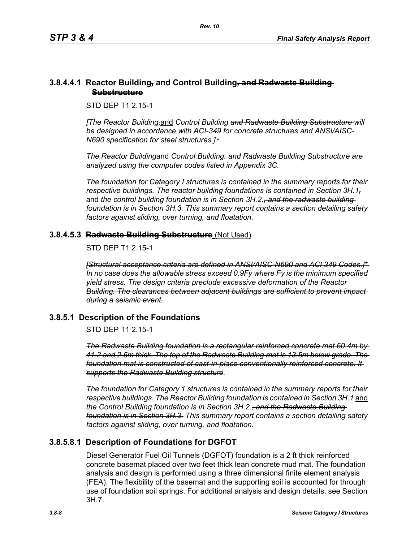### **3.8.4.4.1 Reactor Building***,* **and Control Building***,* **and Radwaste Building Substructure**

STD DEP T1 2.15-1

*[The Reactor Building,*and *Control Building and Radwaste Building Substructure will be designed in accordance with ACI-349 for concrete structures and ANSI/AISC-N690 specification for steel structures.]\** 

*The Reactor Building*and *Control Building. and Radwaste Building Substructure are analyzed using the computer codes listed in Appendix 3C.* 

*The foundation for Category I structures is contained in the summary reports for their respective buildings. The reactor building foundations is contained in Section 3H.1,* and the control building foundation is in Section 3H.2.<del>, and the radwaste building</del> *foundation is in Section 3H.3. This summary report contains a section detailing safety factors against sliding, over turning, and floatation.*

# **3.8.4.5.3 Radwaste Building Substructure** (Not Used)

STD DEP T1 2 15-1

*[Structural acceptance criteria are defined in ANSI/AISC-N690 and ACI 349 Codes.]\* In no case does the allowable stress exceed 0.9Fy where Fy is the minimum specified yield stress. The design criteria preclude excessive deformation of the Reactor Building. The clearances between adjacent buildings are sufficient to prevent impact during a seismic event.*

# **3.8.5.1 Description of the Foundations**

STD DEP T1 2.15-1

*The Radwaste Building foundation is a rectangular reinforced concrete mat 60.4m by 41.2 and 2.5m thick. The top of the Radwaste Building mat is 13.5m below grade. The foundation mat is constructed of cast-in-place conventionally reinforced concrete. It supports the Radwaste Building structure.*

*The foundation for Category 1 structures is contained in the summary reports for their respective buildings. The Reactor Building foundation is contained in Section 3H.1* and *the Control Building foundation is in Section 3H.2., and the Radwaste Building foundation is in Section 3H.3. This summary report contains a section detailing safety factors against sliding, over turning, and floatation.*

# **3.8.5.8.1 Description of Foundations for DGFOT**

Diesel Generator Fuel Oil Tunnels (DGFOT) foundation is a 2 ft thick reinforced concrete basemat placed over two feet thick lean concrete mud mat. The foundation analysis and design is performed using a three dimensional finite element analysis (FEA). The flexibility of the basemat and the supporting soil is accounted for through use of foundation soil springs. For additional analysis and design details, see Section 3H.7.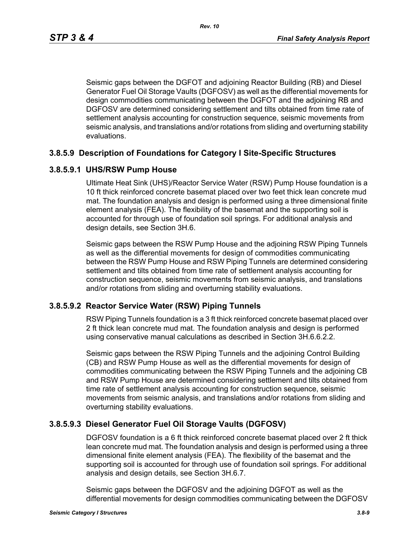Seismic gaps between the DGFOT and adjoining Reactor Building (RB) and Diesel Generator Fuel Oil Storage Vaults (DGFOSV) as well as the differential movements for design commodities communicating between the DGFOT and the adjoining RB and DGFOSV are determined considering settlement and tilts obtained from time rate of settlement analysis accounting for construction sequence, seismic movements from seismic analysis, and translations and/or rotations from sliding and overturning stability evaluations.

# **3.8.5.9 Description of Foundations for Category I Site-Specific Structures**

### **3.8.5.9.1 UHS/RSW Pump House**

Ultimate Heat Sink (UHS)/Reactor Service Water (RSW) Pump House foundation is a 10 ft thick reinforced concrete basemat placed over two feet thick lean concrete mud mat. The foundation analysis and design is performed using a three dimensional finite element analysis (FEA). The flexibility of the basemat and the supporting soil is accounted for through use of foundation soil springs. For additional analysis and design details, see Section 3H.6.

Seismic gaps between the RSW Pump House and the adjoining RSW Piping Tunnels as well as the differential movements for design of commodities communicating between the RSW Pump House and RSW Piping Tunnels are determined considering settlement and tilts obtained from time rate of settlement analysis accounting for construction sequence, seismic movements from seismic analysis, and translations and/or rotations from sliding and overturning stability evaluations.

#### **3.8.5.9.2 Reactor Service Water (RSW) Piping Tunnels**

RSW Piping Tunnels foundation is a 3 ft thick reinforced concrete basemat placed over 2 ft thick lean concrete mud mat. The foundation analysis and design is performed using conservative manual calculations as described in Section 3H.6.6.2.2.

Seismic gaps between the RSW Piping Tunnels and the adjoining Control Building (CB) and RSW Pump House as well as the differential movements for design of commodities communicating between the RSW Piping Tunnels and the adjoining CB and RSW Pump House are determined considering settlement and tilts obtained from time rate of settlement analysis accounting for construction sequence, seismic movements from seismic analysis, and translations and/or rotations from sliding and overturning stability evaluations.

# **3.8.5.9.3 Diesel Generator Fuel Oil Storage Vaults (DGFOSV)**

DGFOSV foundation is a 6 ft thick reinforced concrete basemat placed over 2 ft thick lean concrete mud mat. The foundation analysis and design is performed using a three dimensional finite element analysis (FEA). The flexibility of the basemat and the supporting soil is accounted for through use of foundation soil springs. For additional analysis and design details, see Section 3H.6.7.

Seismic gaps between the DGFOSV and the adjoining DGFOT as well as the differential movements for design commodities communicating between the DGFOSV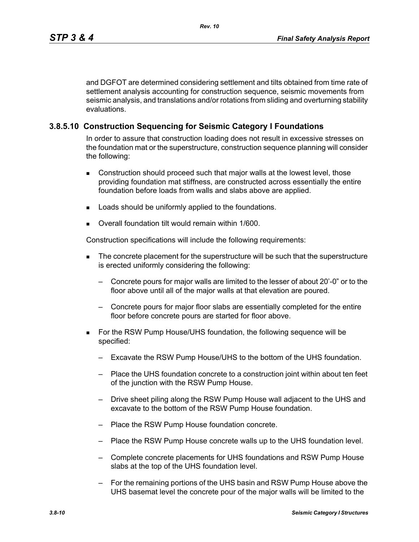and DGFOT are determined considering settlement and tilts obtained from time rate of settlement analysis accounting for construction sequence, seismic movements from seismic analysis, and translations and/or rotations from sliding and overturning stability evaluations.

## **3.8.5.10 Construction Sequencing for Seismic Category I Foundations**

In order to assure that construction loading does not result in excessive stresses on the foundation mat or the superstructure, construction sequence planning will consider the following:

- Construction should proceed such that major walls at the lowest level, those providing foundation mat stiffness, are constructed across essentially the entire foundation before loads from walls and slabs above are applied.
- **Loads should be uniformly applied to the foundations.**
- Overall foundation tilt would remain within 1/600.

Construction specifications will include the following requirements:

- The concrete placement for the superstructure will be such that the superstructure is erected uniformly considering the following:
	- Concrete pours for major walls are limited to the lesser of about 20'-0" or to the floor above until all of the major walls at that elevation are poured.
	- Concrete pours for major floor slabs are essentially completed for the entire floor before concrete pours are started for floor above.
- For the RSW Pump House/UHS foundation, the following sequence will be specified:
	- Excavate the RSW Pump House/UHS to the bottom of the UHS foundation.
	- Place the UHS foundation concrete to a construction joint within about ten feet of the junction with the RSW Pump House.
	- Drive sheet piling along the RSW Pump House wall adjacent to the UHS and excavate to the bottom of the RSW Pump House foundation.
	- Place the RSW Pump House foundation concrete.
	- Place the RSW Pump House concrete walls up to the UHS foundation level.
	- Complete concrete placements for UHS foundations and RSW Pump House slabs at the top of the UHS foundation level.
	- For the remaining portions of the UHS basin and RSW Pump House above the UHS basemat level the concrete pour of the major walls will be limited to the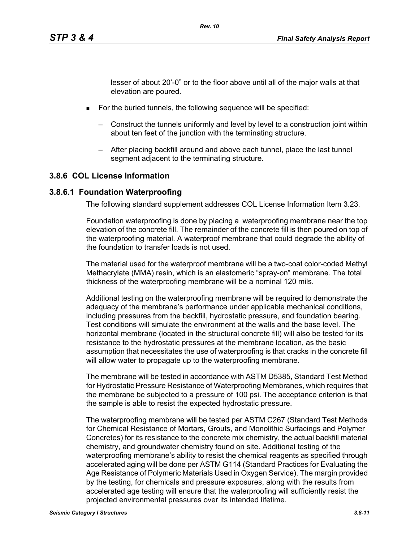lesser of about 20'-0" or to the floor above until all of the major walls at that elevation are poured.

- **For the buried tunnels, the following sequence will be specified:** 
	- Construct the tunnels uniformly and level by level to a construction joint within about ten feet of the junction with the terminating structure.
	- After placing backfill around and above each tunnel, place the last tunnel segment adjacent to the terminating structure.

# **3.8.6 COL License Information**

### **3.8.6.1 Foundation Waterproofing**

The following standard supplement addresses COL License Information Item 3.23.

Foundation waterproofing is done by placing a waterproofing membrane near the top elevation of the concrete fill. The remainder of the concrete fill is then poured on top of the waterproofing material. A waterproof membrane that could degrade the ability of the foundation to transfer loads is not used.

The material used for the waterproof membrane will be a two-coat color-coded Methyl Methacrylate (MMA) resin, which is an elastomeric "spray-on" membrane. The total thickness of the waterproofing membrane will be a nominal 120 mils.

Additional testing on the waterproofing membrane will be required to demonstrate the adequacy of the membrane's performance under applicable mechanical conditions, including pressures from the backfill, hydrostatic pressure, and foundation bearing. Test conditions will simulate the environment at the walls and the base level. The horizontal membrane (located in the structural concrete fill) will also be tested for its resistance to the hydrostatic pressures at the membrane location, as the basic assumption that necessitates the use of waterproofing is that cracks in the concrete fill will allow water to propagate up to the waterproofing membrane.

The membrane will be tested in accordance with ASTM D5385, Standard Test Method for Hydrostatic Pressure Resistance of Waterproofing Membranes, which requires that the membrane be subjected to a pressure of 100 psi. The acceptance criterion is that the sample is able to resist the expected hydrostatic pressure.

The waterproofing membrane will be tested per ASTM C267 (Standard Test Methods for Chemical Resistance of Mortars, Grouts, and Monolithic Surfacings and Polymer Concretes) for its resistance to the concrete mix chemistry, the actual backfill material chemistry, and groundwater chemistry found on site. Additional testing of the waterproofing membrane's ability to resist the chemical reagents as specified through accelerated aging will be done per ASTM G114 (Standard Practices for Evaluating the Age Resistance of Polymeric Materials Used in Oxygen Service). The margin provided by the testing, for chemicals and pressure exposures, along with the results from accelerated age testing will ensure that the waterproofing will sufficiently resist the projected environmental pressures over its intended lifetime.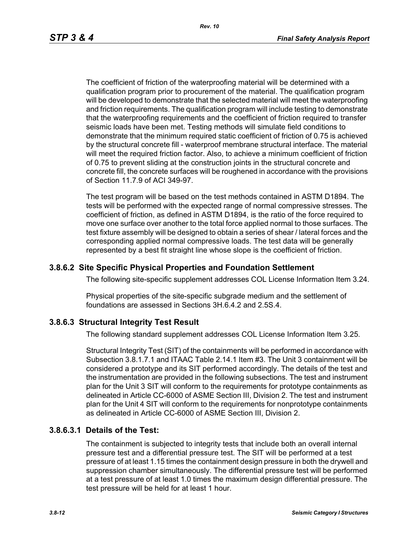The coefficient of friction of the waterproofing material will be determined with a qualification program prior to procurement of the material. The qualification program will be developed to demonstrate that the selected material will meet the waterproofing and friction requirements. The qualification program will include testing to demonstrate that the waterproofing requirements and the coefficient of friction required to transfer seismic loads have been met. Testing methods will simulate field conditions to demonstrate that the minimum required static coefficient of friction of 0.75 is achieved by the structural concrete fill - waterproof membrane structural interface. The material will meet the required friction factor. Also, to achieve a minimum coefficient of friction of 0.75 to prevent sliding at the construction joints in the structural concrete and concrete fill, the concrete surfaces will be roughened in accordance with the provisions of Section 11.7.9 of ACI 349-97.

The test program will be based on the test methods contained in ASTM D1894. The tests will be performed with the expected range of normal compressive stresses. The coefficient of friction, as defined in ASTM D1894, is the ratio of the force required to move one surface over another to the total force applied normal to those surfaces. The test fixture assembly will be designed to obtain a series of shear / lateral forces and the corresponding applied normal compressive loads. The test data will be generally represented by a best fit straight line whose slope is the coefficient of friction.

### **3.8.6.2 Site Specific Physical Properties and Foundation Settlement**

The following site-specific supplement addresses COL License Information Item 3.24.

Physical properties of the site-specific subgrade medium and the settlement of foundations are assessed in Sections 3H.6.4.2 and 2.5S.4.

#### **3.8.6.3 Structural Integrity Test Result**

The following standard supplement addresses COL License Information Item 3.25.

Structural Integrity Test (SIT) of the containments will be performed in accordance with Subsection 3.8.1.7.1 and ITAAC Table 2.14.1 Item #3. The Unit 3 containment will be considered a prototype and its SIT performed accordingly. The details of the test and the instrumentation are provided in the following subsections. The test and instrument plan for the Unit 3 SIT will conform to the requirements for prototype containments as delineated in Article CC-6000 of ASME Section III, Division 2. The test and instrument plan for the Unit 4 SIT will conform to the requirements for nonprototype containments as delineated in Article CC-6000 of ASME Section III, Division 2.

#### **3.8.6.3.1 Details of the Test:**

The containment is subjected to integrity tests that include both an overall internal pressure test and a differential pressure test. The SIT will be performed at a test pressure of at least 1.15 times the containment design pressure in both the drywell and suppression chamber simultaneously. The differential pressure test will be performed at a test pressure of at least 1.0 times the maximum design differential pressure. The test pressure will be held for at least 1 hour.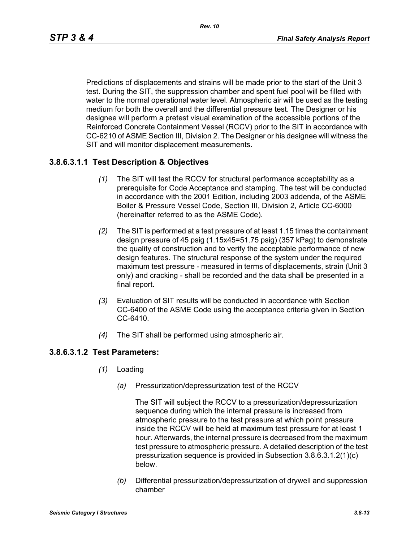Predictions of displacements and strains will be made prior to the start of the Unit 3 test. During the SIT, the suppression chamber and spent fuel pool will be filled with water to the normal operational water level. Atmospheric air will be used as the testing medium for both the overall and the differential pressure test. The Designer or his designee will perform a pretest visual examination of the accessible portions of the Reinforced Concrete Containment Vessel (RCCV) prior to the SIT in accordance with CC-6210 of ASME Section III, Division 2. The Designer or his designee will witness the SIT and will monitor displacement measurements.

# **3.8.6.3.1.1 Test Description & Objectives**

- *(1)* The SIT will test the RCCV for structural performance acceptability as a prerequisite for Code Acceptance and stamping. The test will be conducted in accordance with the 2001 Edition, including 2003 addenda, of the ASME Boiler & Pressure Vessel Code, Section III, Division 2, Article CC-6000 (hereinafter referred to as the ASME Code).
- *(2)* The SIT is performed at a test pressure of at least 1.15 times the containment design pressure of 45 psig (1.15x45=51.75 psig) (357 kPag) to demonstrate the quality of construction and to verify the acceptable performance of new design features. The structural response of the system under the required maximum test pressure - measured in terms of displacements, strain (Unit 3 only) and cracking - shall be recorded and the data shall be presented in a final report.
- *(3)* Evaluation of SIT results will be conducted in accordance with Section CC-6400 of the ASME Code using the acceptance criteria given in Section CC-6410.
- *(4)* The SIT shall be performed using atmospheric air.

# **3.8.6.3.1.2 Test Parameters:**

- *(1)* Loading
	- *(a)* Pressurization/depressurization test of the RCCV

The SIT will subject the RCCV to a pressurization/depressurization sequence during which the internal pressure is increased from atmospheric pressure to the test pressure at which point pressure inside the RCCV will be held at maximum test pressure for at least 1 hour. Afterwards, the internal pressure is decreased from the maximum test pressure to atmospheric pressure. A detailed description of the test pressurization sequence is provided in Subsection 3.8.6.3.1.2(1)(c) below.

*(b)* Differential pressurization/depressurization of drywell and suppression chamber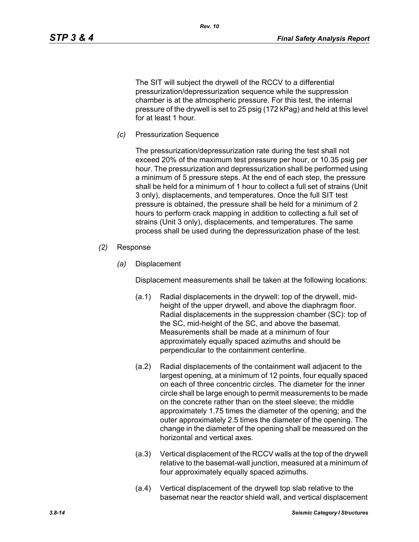The SIT will subject the drywell of the RCCV to a differential pressurization/depressurization sequence while the suppression chamber is at the atmospheric pressure. For this test, the internal pressure of the drywell is set to 25 psig (172 kPag) and held at this level for at least 1 hour.

*Rev. 10*

*(c)* Pressurization Sequence

The pressurization/depressurization rate during the test shall not exceed 20% of the maximum test pressure per hour, or 10.35 psig per hour. The pressurization and depressurization shall be performed using a minimum of 5 pressure steps. At the end of each step, the pressure shall be held for a minimum of 1 hour to collect a full set of strains (Unit 3 only), displacements, and temperatures. Once the full SIT test pressure is obtained, the pressure shall be held for a minimum of 2 hours to perform crack mapping in addition to collecting a full set of strains (Unit 3 only), displacements, and temperatures. The same process shall be used during the depressurization phase of the test.

- *(2)* Response
	- *(a)* Displacement

Displacement measurements shall be taken at the following locations:

- (a.1) Radial displacements in the drywell: top of the drywell, midheight of the upper drywell, and above the diaphragm floor. Radial displacements in the suppression chamber (SC): top of the SC, mid-height of the SC, and above the basemat. Measurements shall be made at a minimum of four approximately equally spaced azimuths and should be perpendicular to the containment centerline.
- (a.2) Radial displacements of the containment wall adjacent to the largest opening, at a minimum of 12 points, four equally spaced on each of three concentric circles. The diameter for the inner circle shall be large enough to permit measurements to be made on the concrete rather than on the steel sleeve; the middle approximately 1.75 times the diameter of the opening; and the outer approximately 2.5 times the diameter of the opening. The change in the diameter of the opening shall be measured on the horizontal and vertical axes.
- (a.3) Vertical displacement of the RCCV walls at the top of the drywell relative to the basemat-wall junction, measured at a minimum of four approximately equally spaced azimuths.
- (a.4) Vertical displacement of the drywell top slab relative to the basemat near the reactor shield wall, and vertical displacement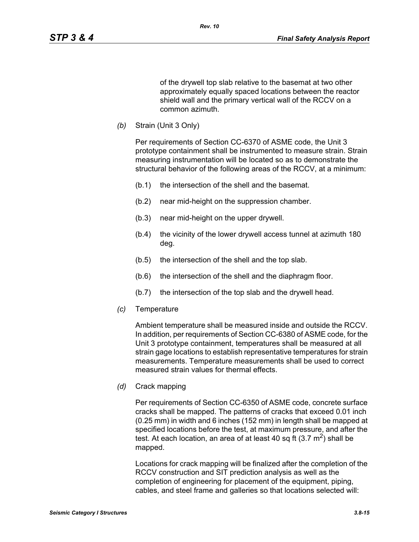of the drywell top slab relative to the basemat at two other approximately equally spaced locations between the reactor shield wall and the primary vertical wall of the RCCV on a common azimuth.

*(b)* Strain (Unit 3 Only)

Per requirements of Section CC-6370 of ASME code, the Unit 3 prototype containment shall be instrumented to measure strain. Strain measuring instrumentation will be located so as to demonstrate the structural behavior of the following areas of the RCCV, at a minimum:

- (b.1) the intersection of the shell and the basemat.
- (b.2) near mid-height on the suppression chamber.
- (b.3) near mid-height on the upper drywell.
- (b.4) the vicinity of the lower drywell access tunnel at azimuth 180 deg.
- (b.5) the intersection of the shell and the top slab.
- (b.6) the intersection of the shell and the diaphragm floor.
- (b.7) the intersection of the top slab and the drywell head.
- *(c)* Temperature

Ambient temperature shall be measured inside and outside the RCCV. In addition, per requirements of Section CC-6380 of ASME code, for the Unit 3 prototype containment, temperatures shall be measured at all strain gage locations to establish representative temperatures for strain measurements. Temperature measurements shall be used to correct measured strain values for thermal effects.

*(d)* Crack mapping

Per requirements of Section CC-6350 of ASME code, concrete surface cracks shall be mapped. The patterns of cracks that exceed 0.01 inch (0.25 mm) in width and 6 inches (152 mm) in length shall be mapped at specified locations before the test, at maximum pressure, and after the test. At each location, an area of at least 40 sq ft  $(3.7 \text{ m}^2)$  shall be mapped.

Locations for crack mapping will be finalized after the completion of the RCCV construction and SIT prediction analysis as well as the completion of engineering for placement of the equipment, piping, cables, and steel frame and galleries so that locations selected will: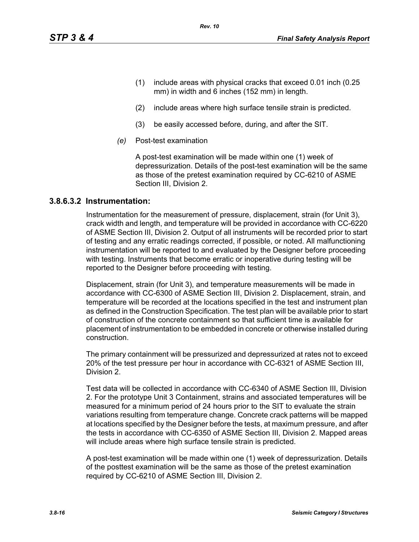- (1) include areas with physical cracks that exceed 0.01 inch (0.25 mm) in width and 6 inches (152 mm) in length.
- (2) include areas where high surface tensile strain is predicted.
- (3) be easily accessed before, during, and after the SIT.

*Rev. 10*

*(e)* Post-test examination

A post-test examination will be made within one (1) week of depressurization. Details of the post-test examination will be the same as those of the pretest examination required by CC-6210 of ASME Section III, Division 2.

#### **3.8.6.3.2 Instrumentation:**

Instrumentation for the measurement of pressure, displacement, strain (for Unit 3), crack width and length, and temperature will be provided in accordance with CC-6220 of ASME Section III, Division 2. Output of all instruments will be recorded prior to start of testing and any erratic readings corrected, if possible, or noted. All malfunctioning instrumentation will be reported to and evaluated by the Designer before proceeding with testing. Instruments that become erratic or inoperative during testing will be reported to the Designer before proceeding with testing.

Displacement, strain (for Unit 3), and temperature measurements will be made in accordance with CC-6300 of ASME Section III, Division 2. Displacement, strain, and temperature will be recorded at the locations specified in the test and instrument plan as defined in the Construction Specification. The test plan will be available prior to start of construction of the concrete containment so that sufficient time is available for placement of instrumentation to be embedded in concrete or otherwise installed during construction.

The primary containment will be pressurized and depressurized at rates not to exceed 20% of the test pressure per hour in accordance with CC-6321 of ASME Section III, Division 2.

Test data will be collected in accordance with CC-6340 of ASME Section III, Division 2. For the prototype Unit 3 Containment, strains and associated temperatures will be measured for a minimum period of 24 hours prior to the SIT to evaluate the strain variations resulting from temperature change. Concrete crack patterns will be mapped at locations specified by the Designer before the tests, at maximum pressure, and after the tests in accordance with CC-6350 of ASME Section III, Division 2. Mapped areas will include areas where high surface tensile strain is predicted.

A post-test examination will be made within one (1) week of depressurization. Details of the posttest examination will be the same as those of the pretest examination required by CC-6210 of ASME Section III, Division 2.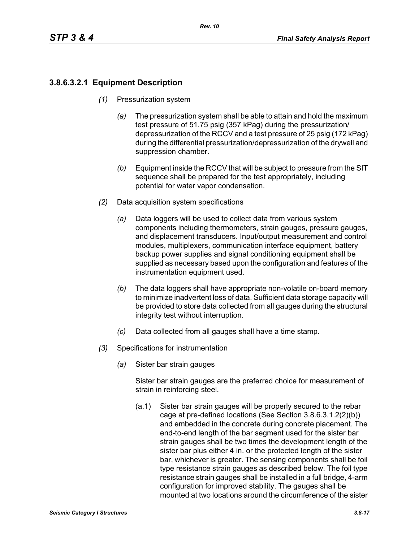# **3.8.6.3.2.1 Equipment Description**

- *(1)* Pressurization system
	- *(a)* The pressurization system shall be able to attain and hold the maximum test pressure of 51.75 psig (357 kPag) during the pressurization/ depressurization of the RCCV and a test pressure of 25 psig (172 kPag) during the differential pressurization/depressurization of the drywell and suppression chamber.
	- *(b)* Equipment inside the RCCV that will be subject to pressure from the SIT sequence shall be prepared for the test appropriately, including potential for water vapor condensation.
- *(2)* Data acquisition system specifications
	- *(a)* Data loggers will be used to collect data from various system components including thermometers, strain gauges, pressure gauges, and displacement transducers. Input/output measurement and control modules, multiplexers, communication interface equipment, battery backup power supplies and signal conditioning equipment shall be supplied as necessary based upon the configuration and features of the instrumentation equipment used.
	- *(b)* The data loggers shall have appropriate non-volatile on-board memory to minimize inadvertent loss of data. Sufficient data storage capacity will be provided to store data collected from all gauges during the structural integrity test without interruption.
	- *(c)* Data collected from all gauges shall have a time stamp.
- *(3)* Specifications for instrumentation
	- *(a)* Sister bar strain gauges

Sister bar strain gauges are the preferred choice for measurement of strain in reinforcing steel.

(a.1) Sister bar strain gauges will be properly secured to the rebar cage at pre-defined locations (See Section 3.8.6.3.1.2(2)(b)) and embedded in the concrete during concrete placement. The end-to-end length of the bar segment used for the sister bar strain gauges shall be two times the development length of the sister bar plus either 4 in. or the protected length of the sister bar, whichever is greater. The sensing components shall be foil type resistance strain gauges as described below. The foil type resistance strain gauges shall be installed in a full bridge, 4-arm configuration for improved stability. The gauges shall be mounted at two locations around the circumference of the sister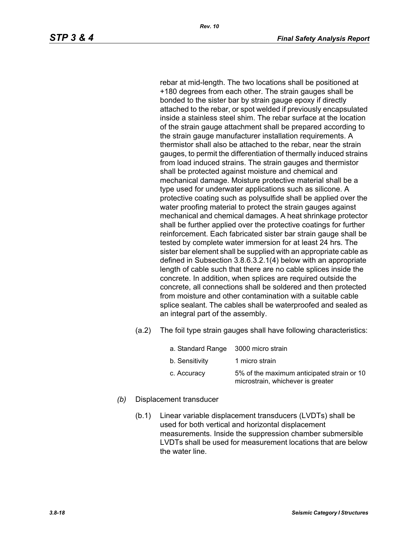rebar at mid-length. The two locations shall be positioned at +180 degrees from each other. The strain gauges shall be bonded to the sister bar by strain gauge epoxy if directly attached to the rebar, or spot welded if previously encapsulated inside a stainless steel shim. The rebar surface at the location of the strain gauge attachment shall be prepared according to the strain gauge manufacturer installation requirements. A thermistor shall also be attached to the rebar, near the strain gauges, to permit the differentiation of thermally induced strains from load induced strains. The strain gauges and thermistor shall be protected against moisture and chemical and mechanical damage. Moisture protective material shall be a type used for underwater applications such as silicone. A protective coating such as polysulfide shall be applied over the water proofing material to protect the strain gauges against mechanical and chemical damages. A heat shrinkage protector shall be further applied over the protective coatings for further reinforcement. Each fabricated sister bar strain gauge shall be tested by complete water immersion for at least 24 hrs. The sister bar element shall be supplied with an appropriate cable as defined in Subsection 3.8.6.3.2.1(4) below with an appropriate length of cable such that there are no cable splices inside the concrete. In addition, when splices are required outside the concrete, all connections shall be soldered and then protected from moisture and other contamination with a suitable cable splice sealant. The cables shall be waterproofed and sealed as an integral part of the assembly.

(a.2) The foil type strain gauges shall have following characteristics:

| a. Standard Range 3000 micro strain |                                                                                 |
|-------------------------------------|---------------------------------------------------------------------------------|
| b. Sensitivity                      | 1 micro strain                                                                  |
| c. Accuracy                         | 5% of the maximum anticipated strain or 10<br>microstrain, whichever is greater |

- *(b)* Displacement transducer
	- (b.1) Linear variable displacement transducers (LVDTs) shall be used for both vertical and horizontal displacement measurements. Inside the suppression chamber submersible LVDTs shall be used for measurement locations that are below the water line.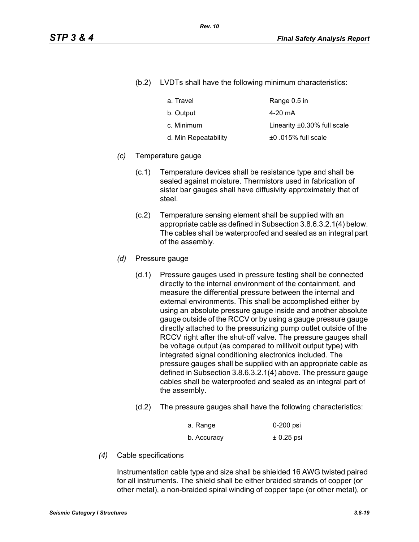(b.2) LVDTs shall have the following minimum characteristics:

| a. Travel            | Range 0.5 in                      |
|----------------------|-----------------------------------|
| b. Output            | 4-20 mA                           |
| c. Minimum           | Linearity $\pm 0.30\%$ full scale |
| d. Min Repeatability | $±0.015\%$ full scale             |

#### *(c)* Temperature gauge

- (c.1) Temperature devices shall be resistance type and shall be sealed against moisture. Thermistors used in fabrication of sister bar gauges shall have diffusivity approximately that of steel.
- (c.2) Temperature sensing element shall be supplied with an appropriate cable as defined in Subsection 3.8.6.3.2.1(4) below. The cables shall be waterproofed and sealed as an integral part of the assembly.
- *(d)* Pressure gauge
	- (d.1) Pressure gauges used in pressure testing shall be connected directly to the internal environment of the containment, and measure the differential pressure between the internal and external environments. This shall be accomplished either by using an absolute pressure gauge inside and another absolute gauge outside of the RCCV or by using a gauge pressure gauge directly attached to the pressurizing pump outlet outside of the RCCV right after the shut-off valve. The pressure gauges shall be voltage output (as compared to millivolt output type) with integrated signal conditioning electronics included. The pressure gauges shall be supplied with an appropriate cable as defined in Subsection 3.8.6.3.2.1(4) above. The pressure gauge cables shall be waterproofed and sealed as an integral part of the assembly.
	- (d.2) The pressure gauges shall have the following characteristics:

| a. Range    | 0-200 psi    |
|-------------|--------------|
| b. Accuracy | $± 0.25$ psi |

*(4)* Cable specifications

Instrumentation cable type and size shall be shielded 16 AWG twisted paired for all instruments. The shield shall be either braided strands of copper (or other metal), a non-braided spiral winding of copper tape (or other metal), or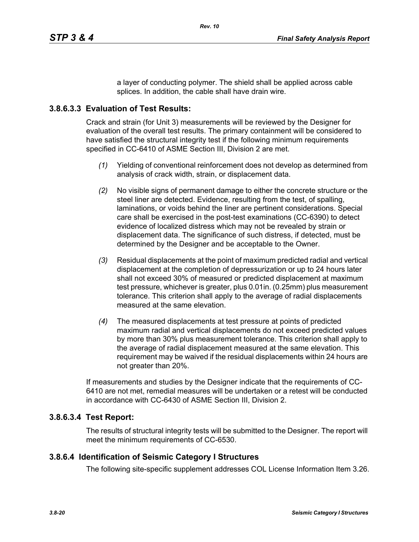a layer of conducting polymer. The shield shall be applied across cable splices. In addition, the cable shall have drain wire.

# **3.8.6.3.3 Evaluation of Test Results:**

Crack and strain (for Unit 3) measurements will be reviewed by the Designer for evaluation of the overall test results. The primary containment will be considered to have satisfied the structural integrity test if the following minimum requirements specified in CC-6410 of ASME Section III, Division 2 are met.

- *(1)* Yielding of conventional reinforcement does not develop as determined from analysis of crack width, strain, or displacement data.
- *(2)* No visible signs of permanent damage to either the concrete structure or the steel liner are detected. Evidence, resulting from the test, of spalling, laminations, or voids behind the liner are pertinent considerations. Special care shall be exercised in the post-test examinations (CC-6390) to detect evidence of localized distress which may not be revealed by strain or displacement data. The significance of such distress, if detected, must be determined by the Designer and be acceptable to the Owner.
- *(3)* Residual displacements at the point of maximum predicted radial and vertical displacement at the completion of depressurization or up to 24 hours later shall not exceed 30% of measured or predicted displacement at maximum test pressure, whichever is greater, plus 0.01in. (0.25mm) plus measurement tolerance. This criterion shall apply to the average of radial displacements measured at the same elevation.
- *(4)* The measured displacements at test pressure at points of predicted maximum radial and vertical displacements do not exceed predicted values by more than 30% plus measurement tolerance. This criterion shall apply to the average of radial displacement measured at the same elevation. This requirement may be waived if the residual displacements within 24 hours are not greater than 20%.

If measurements and studies by the Designer indicate that the requirements of CC-6410 are not met, remedial measures will be undertaken or a retest will be conducted in accordance with CC-6430 of ASME Section III, Division 2.

# **3.8.6.3.4 Test Report:**

The results of structural integrity tests will be submitted to the Designer. The report will meet the minimum requirements of CC-6530.

# **3.8.6.4 Identification of Seismic Category I Structures**

The following site-specific supplement addresses COL License Information Item 3.26.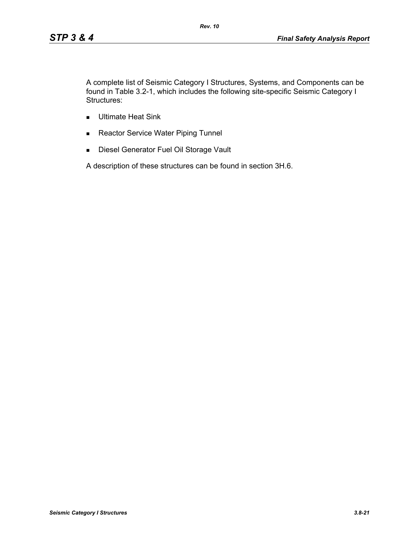A complete list of Seismic Category I Structures, Systems, and Components can be found in Table 3.2-1, which includes the following site-specific Seismic Category I Structures:

- **Ultimate Heat Sink**
- Reactor Service Water Piping Tunnel
- **Diesel Generator Fuel Oil Storage Vault**

A description of these structures can be found in section 3H.6.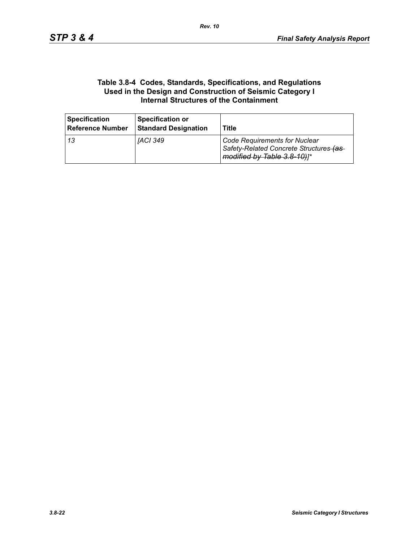#### **Table 3.8-4 Codes, Standards, Specifications, and Regulations Used in the Design and Construction of Seismic Category I Internal Structures of the Containment**

| <b>Specification</b><br><b>Reference Number</b> | <b>Specification or</b><br><b>Standard Designation</b> | Title                                                                                                          |
|-------------------------------------------------|--------------------------------------------------------|----------------------------------------------------------------------------------------------------------------|
| l 13                                            | IACI 349                                               | <b>Code Requirements for Nuclear</b><br>Safety-Related Concrete Structures-(as-<br>modified by Table 3.8-10)]* |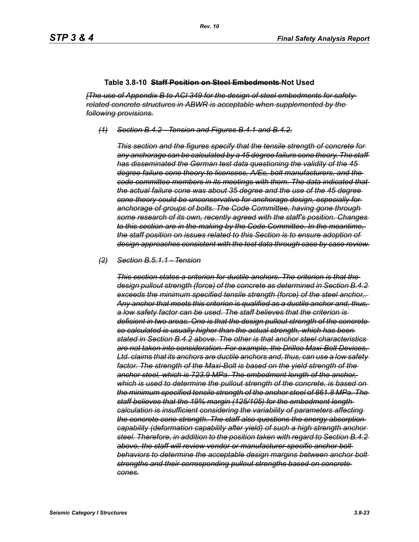#### **Table 3.8-10 Staff Position on Steel Embedments Not Used**

*[The use of Appendix B to ACI 349 for the design of steel embedments for safetyrelated concrete structures in ABWR is acceptable when supplemented by the following provisions.*

*(1) Section B.4.2 - Tension and Figures B.4.1 and B.4.2.*

*This section and the figures specify that the tensile strength of concrete for any anchorage can be calculated by a 45 degree failure cone theory. The staff has disseminated the German test data questioning the validity of the 45 degree failure cone theory to licensees, A/Es, bolt manufacturers, and the code committee members in its meetings with them. The data indicated that the actual failure cone was about 35 degree and the use of the 45 degree cone theory could be unconservative for anchorage design, especially for anchorage of groups of bolts. The Code Committee, having gone through some research of its own, recently agreed with the staff's position. Changes to this section are in the making by the Code Committee. In the meantime, the staff position on issues related to this Section is to ensure adoption of design approaches consistent with the test data through case by case review.*

#### *(2) Section B.5.1.1 - Tension*

*This section states a criterion for ductile anchors. The criterion is that the design pullout strength (force) of the concrete as determined in Section B.4.2 exceeds the minimum specified tensile strength (force) of the steel anchor,. Any anchor that meets this criterion is qualified as a ductile anchor and, thus, a low safety factor can be used. The staff believes that the criterion is deficient in two areas. One is that the design pullout strength of the concrete so calculated is usually higher than the actual strength, which has been stated in Section B.4.2 above. The other is that anchor steel characteristics are not taken into consideration. For example, the Drillco Maxi-Bolt Devices, Ltd. claims that its anchors are ductile anchors and, thus, can use a low safety factor. The strength of the Maxi-Bolt is based on the yield strength of the anchor steel, which is 723.9 MPa. The embedment length of the anchor, which is used to determine the pullout strength of the concrete, is based on the minimum specified tensile strength of the anchor steel of 861.8 MPa. The staff believes that the 19% margin (125/105) for the embedment length calculation is insufficient considering the variability of parameters affecting the concrete cone strength. The staff also questions the energy absorption capability (deformation capability after yield) of such a high strength anchor steel. Therefore, in addition to the position taken with regard to Section B.4.2 above, the staff will review vendor or manufacturer specific anchor bolt behaviors to determine the acceptable design margins between anchor bolt strengths and their corresponding pullout strengths based on concrete cones.*